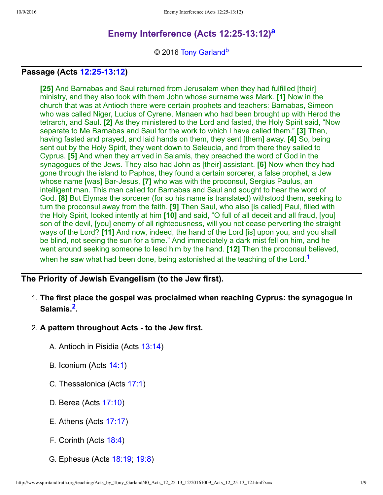# **Enemy Interference (Acts 12:25-13:12)**<sup>[a](#page-8-0)</sup>

<span id="page-0-3"></span><span id="page-0-2"></span><span id="page-0-0"></span>© 2016 [Tony Garland](http://www.spiritandtruth.org/id/tg.htm)<sup>[b](#page-8-1)</sup>

## **Passage (Acts [12:2513:](http://www.spiritandtruth.org/bibles/nasb/b44c012.htm#Acts_C12V25)[12\)](http://www.spiritandtruth.org/bibles/nasb/b44c012.htm#Acts_C12V12)**

**[25]** And Barnabas and Saul returned from Jerusalem when they had fulfilled [their] ministry, and they also took with them John whose surname was Mark. **[1]** Now in the church that was at Antioch there were certain prophets and teachers: Barnabas, Simeon who was called Niger, Lucius of Cyrene, Manaen who had been brought up with Herod the tetrarch, and Saul. **[2]** As they ministered to the Lord and fasted, the Holy Spirit said, "Now separate to Me Barnabas and Saul for the work to which I have called them." **[3]** Then, having fasted and prayed, and laid hands on them, they sent [them] away. **[4]** So, being sent out by the Holy Spirit, they went down to Seleucia, and from there they sailed to Cyprus. **[5]** And when they arrived in Salamis, they preached the word of God in the synagogues of the Jews. They also had John as [their] assistant. **[6]** Now when they had gone through the island to Paphos, they found a certain sorcerer, a false prophet, a Jew whose name [was] Bar-Jesus, **[7]** who was with the proconsul, Sergius Paulus, an intelligent man. This man called for Barnabas and Saul and sought to hear the word of God. **[8]** But Elymas the sorcerer (for so his name is translated) withstood them, seeking to turn the proconsul away from the faith. **[9]** Then Saul, who also [is called] Paul, filled with the Holy Spirit, looked intently at him **[10]** and said, "O full of all deceit and all fraud, [you] son of the devil, [you] enemy of all righteousness, will you not cease perverting the straight ways of the Lord? **[11]** And now, indeed, the hand of the Lord [is] upon you, and you shall be blind, not seeing the sun for a time." And immediately a dark mist fell on him, and he went around seeking someone to lead him by the hand. **[12]** Then the proconsul believed, when he saw what had been done, being astonished at the teaching of the Lord.<sup>[1](#page-7-0)</sup>

## **The Priority of Jewish Evangelism (to the Jew first).**

- <span id="page-0-1"></span>1. **The first place the gospel was proclaimed when reaching Cyprus: the synagogue in Salamis.[2](#page-7-1) .**
- 2. A pattern throughout Acts to the Jew first.
	- A. Antioch in Pisidia (Acts [13:14](http://www.spiritandtruth.org/bibles/nasb/b44c013.htm#Acts_C13V14))
	- B. Iconium (Acts [14:1](http://www.spiritandtruth.org/bibles/nasb/b44c014.htm#Acts_C14V1))
	- C. Thessalonica (Acts [17:1](http://www.spiritandtruth.org/bibles/nasb/b44c017.htm#Acts_C17V1))
	- D. Berea (Acts [17:10\)](http://www.spiritandtruth.org/bibles/nasb/b44c017.htm#Acts_C17V10)
	- E. Athens (Acts [17:17\)](http://www.spiritandtruth.org/bibles/nasb/b44c017.htm#Acts_C17V17)
	- F. Corinth (Acts [18:4\)](http://www.spiritandtruth.org/bibles/nasb/b44c018.htm#Acts_C18V4)
	- G. Ephesus (Acts [18:19](http://www.spiritandtruth.org/bibles/nasb/b44c018.htm#Acts_C18V19); [19:8\)](http://www.spiritandtruth.org/bibles/nasb/b44c019.htm#Acts_C19V8)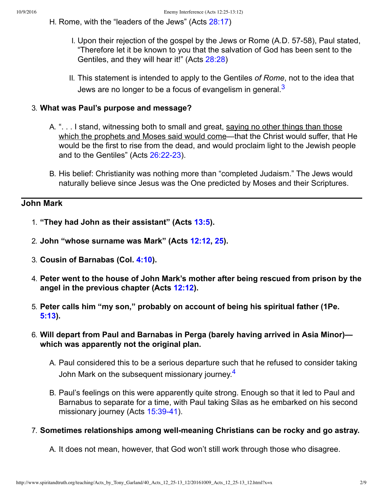H. Rome, with the "leaders of the Jews" (Acts [28:17\)](http://www.spiritandtruth.org/bibles/nasb/b44c028.htm#Acts_C28V17)

- I. Upon their rejection of the gospel by the Jews or Rome (A.D. 57-58), Paul stated, "Therefore let it be known to you that the salvation of God has been sent to the Gentiles, and they will hear it!" (Acts [28:28](http://www.spiritandtruth.org/bibles/nasb/b44c028.htm#Acts_C28V28))
- <span id="page-1-0"></span>II. This statement is intended to apply to the Gentiles *of Rome*, not to the idea that Jews are no longer to be a focus of evangelism in general.<sup>[3](#page-7-2)</sup>

### 3. **What was Paul's purpose and message?**

- A. "... I stand, witnessing both to small and great, saying no other things than those which the prophets and Moses said would come—that the Christ would suffer, that He would be the first to rise from the dead, and would proclaim light to the Jewish people and to the Gentiles" (Acts 26:22-23).
- B. His belief: Christianity was nothing more than "completed Judaism." The Jews would naturally believe since Jesus was the One predicted by Moses and their Scriptures.

### **John Mark**

- 1. **"They had John as their assistant" (Acts [13:5\)](http://www.spiritandtruth.org/bibles/nasb/b44c013.htm#Acts_C13V5).**
- 2. **John "whose surname was Mark" (Acts [12:12,](http://www.spiritandtruth.org/bibles/nasb/b44c012.htm#Acts_C12V12) [25\)](http://www.spiritandtruth.org/bibles/nasb/b44c012.htm#Acts_C12V25).**
- 3. **Cousin of Barnabas (Col. [4:10](http://www.spiritandtruth.org/bibles/nasb/b51c004.htm#Col._C4V10)).**
- 4. **Peter went to the house of John Mark's mother after being rescued from prison by the angel in the previous chapter (Acts [12:12\)](http://www.spiritandtruth.org/bibles/nasb/b44c012.htm#Acts_C12V12).**
- 5. **Peter calls him "my son," probably on account of being his spiritual father (1Pe. [5:13\)](http://www.spiritandtruth.org/bibles/nasb/b60c005.htm#1Pe._C5V13).**
- 6. **Will depart from Paul and Barnabas in Perga (barely having arrived in Asia Minor) which was apparently not the original plan.**
	- A. Paul considered this to be a serious departure such that he refused to consider taking John Mark on the subsequent missionary journey.<sup>[4](#page-8-2)</sup>
	- B. Paul's feelings on this were apparently quite strong. Enough so that it led to Paul and Barnabus to separate for a time, with Paul taking Silas as he embarked on his second missionary journey (Acts 15:39-41).

### 7. **Sometimes relationships among wellmeaning Christians can be rocky and go astray.**

<span id="page-1-1"></span>A. It does not mean, however, that God won't still work through those who disagree.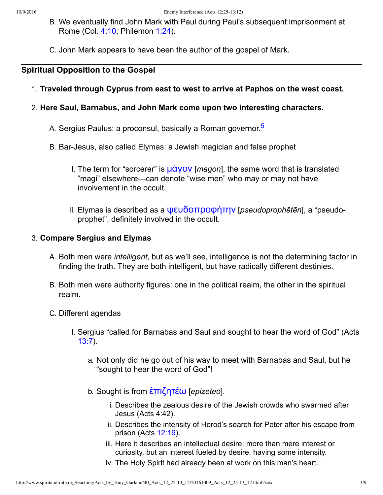- B. We eventually find John Mark with Paul during Paul's subsequent imprisonment at Rome (Col. [4:10;](http://www.spiritandtruth.org/bibles/nasb/b51c004.htm#Col._C4V10) Philemon [1:24](http://www.spiritandtruth.org/bibles/nasb/b57c001.htm#Phm._C1V24)).
- C. John Mark appears to have been the author of the gospel of Mark.

## **Spiritual Opposition to the Gospel**

1. **Traveled through Cyprus from east to west to arrive at Paphos on the west coast.**

### 2. **Here Saul, Barnabus, and John Mark come upon two interesting characters.**

- <span id="page-2-0"></span>A. Sergius Paulus: a proconsul, basically a Roman governor.[5](#page-8-3)
- B. BarJesus, also called Elymas: a Jewish magician and false prophet
	- I. The term for "sorcerer" is  $\mu$  $\alpha$  $\gamma$ ov [*magon*], the same word that is translated "magi" elsewhere—can denote "wise men" who may or may not have involvement in the occult.
	- II. Elymas is described as a **ψευδοπροφήτην** [*pseudoprophētēn*], a "pseudoprophet", definitely involved in the occult.

### 3. **Compare Sergius and Elymas**

- A. Both men were *intelligent*, but as we'll see, intelligence is not the determining factor in finding the truth. They are both intelligent, but have radically different destinies.
- B. Both men were authority figures: one in the political realm, the other in the spiritual realm.
- C. Different agendas
	- I. Sergius "called for Barnabas and Saul and sought to hear the word of God" (Acts [13:7\)](http://www.spiritandtruth.org/bibles/nasb/b44c013.htm#Acts_C13V7).
		- a. Not only did he go out of his way to meet with Barnabas and Saul, but he "sought to hear the word of God"!
		- b. Sought is from επιζητέω [*epizēteō*].
			- i. Describes the zealous desire of the Jewish crowds who swarmed after Jesus (Acts 4:42).
			- ii. Describes the intensity of Herod's search for Peter after his escape from prison (Acts [12:19\)](http://www.spiritandtruth.org/bibles/nasb/b44c012.htm#Acts_C12V19).
			- iii. Here it describes an intellectual desire: more than mere interest or curiosity, but an interest fueled by desire, having some intensity.
			- iv. The Holy Spirit had already been at work on this man's heart.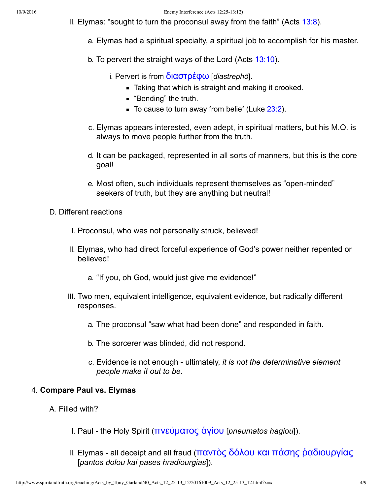- II. Elymas: "sought to turn the proconsul away from the faith" (Acts [13:8](http://www.spiritandtruth.org/bibles/nasb/b44c013.htm#Acts_C13V8)).
	- a. Elymas had a spiritual specialty, a spiritual job to accomplish for his master.
	- b. To pervert the straight ways of the Lord (Acts [13:10](http://www.spiritandtruth.org/bibles/nasb/b44c013.htm#Acts_C13V10)).
		- i. Pervert is from **διαστρέφω** [*diastrephō*].
			- **Taking that which is straight and making it crooked.**
			- "Bending" the truth.
			- $\blacksquare$  To cause to turn away from belief (Luke [23:2\)](http://www.spiritandtruth.org/bibles/nasb/b42c023.htm#Luke_C23V2).
	- c. Elymas appears interested, even adept, in spiritual matters, but his M.O. is always to move people further from the truth.
	- d. It can be packaged, represented in all sorts of manners, but this is the core goal!
	- e. Most often, such individuals represent themselves as "open-minded" seekers of truth, but they are anything but neutral!
- D. Different reactions
	- I. Proconsul, who was not personally struck, believed!
	- II. Elymas, who had direct forceful experience of God's power neither repented or believed!
		- a. "If you, oh God, would just give me evidence!"
	- III. Two men, equivalent intelligence, equivalent evidence, but radically different responses.
		- a. The proconsul "saw what had been done" and responded in faith.
		- b. The sorcerer was blinded, did not respond.
		- c. Evidence is not enough ultimately, *it is not the determinative element people make it out to be*.

### 4. **Compare Paul vs. Elymas**

- A. Filled with?
	- I. Paul the Holy Spirit (πνεύματος άγίου [*pneumatos hagiou*]).
	- II. Elymas all deceipt and all fraud (παντὸς δόλου και πάσης ραδιουργίας [*pantos dolou kai pasēs hradiourgias*]).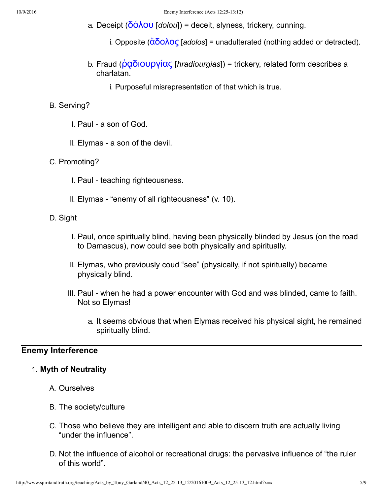- a. Deceipt (**δόλου** [*dolou*]) = deceit, slyness, trickery, cunning.
	- i. Opposite ( $\ddot{\alpha}$ δολος [*adolos*] = unadulterated (nothing added or detracted).
- b. Fraud (*pαδιουργίας [hradiourgias]*) = trickery, related form describes a charlatan.
	- i. Purposeful misrepresentation of that which is true.

#### B. Serving?

- I. Paul a son of God.
- II. Elymas a son of the devil.
- C. Promoting?
	- I. Paul teaching righteousness.
	- II. Elymas "enemy of all righteousness" (v. 10).

#### D. Sight

- I. Paul, once spiritually blind, having been physically blinded by Jesus (on the road to Damascus), now could see both physically and spiritually.
- II. Elymas, who previously coud "see" (physically, if not spiritually) became physically blind.
- III. Paul when he had a power encounter with God and was blinded, came to faith. Not so Elymas!
	- a. It seems obvious that when Elymas received his physical sight, he remained spiritually blind.

#### **Enemy Interference**

#### 1. **Myth of Neutrality**

- A. Ourselves
- B. The society/culture
- C. Those who believe they are intelligent and able to discern truth are actually living "under the influence".
- D. Not the influence of alcohol or recreational drugs: the pervasive influence of "the ruler of this world".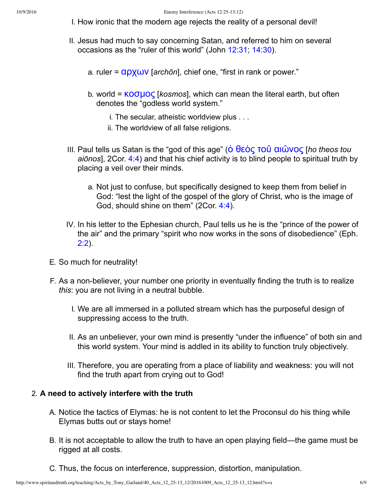- I. How ironic that the modern age rejects the reality of a personal devil!
- II. Jesus had much to say concerning Satan, and referred to him on several occasions as the "ruler of this world" (John [12:31;](http://www.spiritandtruth.org/bibles/nasb/b43c012.htm#John_C12V31) [14:30](http://www.spiritandtruth.org/bibles/nasb/b43c014.htm#John_C14V30)).
	- a. ruler =  $\alpha$ ρχων [*archōn*], chief one, "first in rank or power."
	- b. world = KOULOC [kosmos], which can mean the literal earth, but often denotes the "godless world system."
		- i. The secular, atheistic worldview plus . . .
		- ii. The worldview of all false religions.
- III. Paul tells us Satan is the "god of this age" (<u>δ</u> θεὸς τοῦ αιῶνος [ho theos tou *aiōnos*], 2Cor. [4:4\)](http://www.spiritandtruth.org/bibles/nasb/b47c004.htm#2Cor._C4V4) and that his chief activity is to blind people to spiritual truth by placing a veil over their minds.
	- a. Not just to confuse, but specifically designed to keep them from belief in God: "lest the light of the gospel of the glory of Christ, who is the image of God, should shine on them" (2Cor. [4:4\)](http://www.spiritandtruth.org/bibles/nasb/b47c004.htm#2Cor._C4V4).
- IV. In his letter to the Ephesian church, Paul tells us he is the "prince of the power of the air" and the primary "spirit who now works in the sons of disobedience" (Eph. [2:2](http://www.spiritandtruth.org/bibles/nasb/b49c002.htm#Eph._C2V2)).
- E. So much for neutrality!
- F. As a non-believer, your number one priority in eventually finding the truth is to realize *this*: you are not living in a neutral bubble.
	- I. We are all immersed in a polluted stream which has the purposeful design of suppressing access to the truth.
	- II. As an unbeliever, your own mind is presently "under the influence" of both sin and this world system. Your mind is addled in its ability to function truly objectively.
	- III. Therefore, you are operating from a place of liability and weakness: you will not find the truth apart from crying out to God!

### 2. **A need to actively interfere with the truth**

- A. Notice the tactics of Elymas: he is not content to let the Proconsul do his thing while Elymas butts out or stays home!
- B. It is not acceptable to allow the truth to have an open playing field—the game must be rigged at all costs.
- C. Thus, the focus on interference, suppression, distortion, manipulation.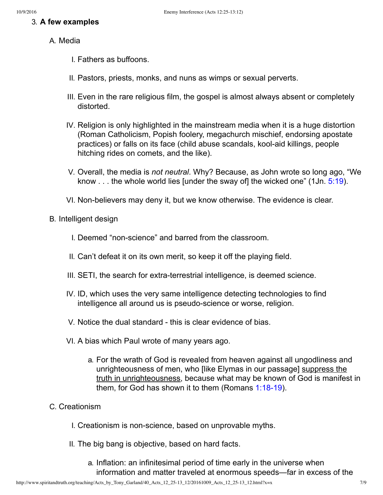### 3. **A few examples**

### A. Media

- I. Fathers as buffoons.
- II. Pastors, priests, monks, and nuns as wimps or sexual perverts.
- III. Even in the rare religious film, the gospel is almost always absent or completely distorted.
- IV. Religion is only highlighted in the mainstream media when it is a huge distortion (Roman Catholicism, Popish foolery, megachurch mischief, endorsing apostate practices) or falls on its face (child abuse scandals, kool-aid killings, people hitching rides on comets, and the like).
- V. Overall, the media is *not neutral*. Why? Because, as John wrote so long ago, "We know  $\dots$  the whole world lies [under the sway of] the wicked one" (1Jn.  $5:19$ ).
- VI. Non-believers may deny it, but we know otherwise. The evidence is clear.
- B. Intelligent design
	- I. Deemed "non-science" and barred from the classroom.
	- II. Can't defeat it on its own merit, so keep it off the playing field.
	- III. SETI, the search for extra-terrestrial intelligence, is deemed science.
	- IV. ID, which uses the very same intelligence detecting technologies to find intelligence all around us is pseudo-science or worse, religion.
	- V. Notice the dual standard this is clear evidence of bias.
	- VI. A bias which Paul wrote of many years ago.
		- a. For the wrath of God is revealed from heaven against all ungodliness and unrighteousness of men, who [like Elymas in our passage] suppress the truth in unrighteousness, because what may be known of God is manifest in them, for God has shown it to them (Romans  $1:18-19$ ).

### C. Creationism

- I. Creationism is non-science, based on unprovable myths.
- II. The big bang is objective, based on hard facts.
	- a. Inflation: an infinitesimal period of time early in the universe when information and matter traveled at enormous speeds—far in excess of the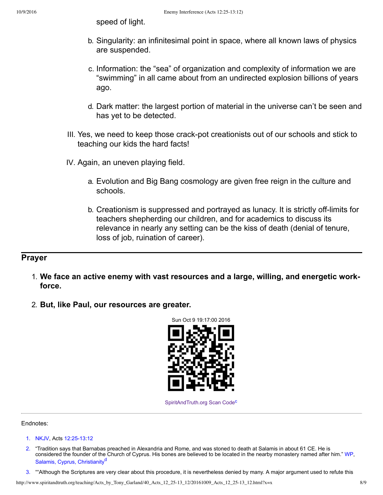speed of light.

- b. Singularity: an infinitesimal point in space, where all known laws of physics are suspended.
- c. Information: the "sea" of organization and complexity of information we are "swimming" in all came about from an undirected explosion billions of years ago.
- d. Dark matter: the largest portion of material in the universe can't be seen and has yet to be detected.
- III. Yes, we need to keep those crack-pot creationists out of our schools and stick to teaching our kids the hard facts!
- IV. Again, an uneven playing field.
	- a. Evolution and Big Bang cosmology are given free reign in the culture and schools.
	- b. Creationism is suppressed and portrayed as lunacy. It is strictly off-limits for teachers shepherding our children, and for academics to discuss its relevance in nearly any setting can be the kiss of death (denial of tenure, loss of job, ruination of career).

### **Prayer**

- 1. **We face an active enemy with vast resources and a large, willing, and energetic workforce.**
- 2. **But, like Paul, our resources are greater.**



<span id="page-7-3"></span>[SpiritAndTruth.org Scan Code](http://www.spiritandtruth.org/)<sup>[c](#page-8-4)</sup>

Endnotes:

- <span id="page-7-0"></span>[1.](#page-0-0) [NKJV](#page-8-5), Acts [12](http://www.spiritandtruth.org/bibles/nasb/b44c012.htm#Acts_C12V12):25-13:12
- <span id="page-7-1"></span>[2.](#page-0-1) "Tradition says that Barnabas preached in Alexandria and Rome, and was stoned to death at Salamis in about 61 CE. He is considered the founder of the Church of Cyprus. His bones are believed to be located in the nearby monastery named after him." [WP](#page-8-6), [Salamis, Cyprus, Christianity](https://en.wikipedia.org/wiki/Salamis,_Cyprus#Christianity)<sup>a</sup>
- <span id="page-7-4"></span><span id="page-7-2"></span>[3.](#page-1-0) ""Although the Scriptures are very clear about this procedure, it is nevertheless denied by many. A major argument used to refute this